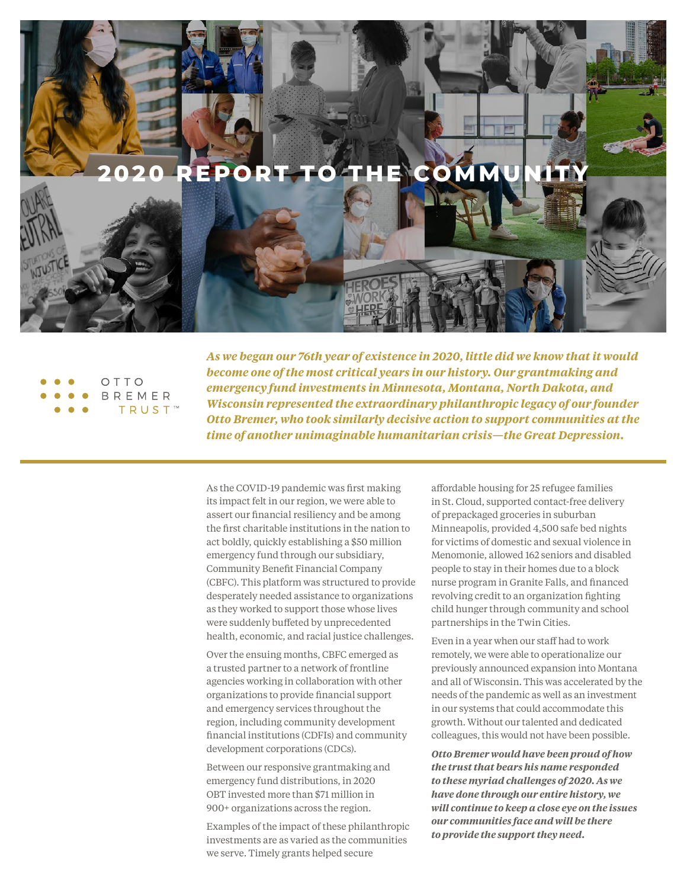



*As we began our 76th year of existence in 2020, little did we know that it would become one of the most critical years in our history. Our grantmaking and emergency fund investments in Minnesota, Montana, North Dakota, and Wisconsin represented the extraordinary philanthropic legacy of our founder Otto Bremer, who took similarly decisive action to support communities at the time of another unimaginable humanitarian crisis—the Great Depression.*

As the COVID-19 pandemic was first making its impact felt in our region, we were able to assert our financial resiliency and be among the first charitable institutions in the nation to act boldly, quickly establishing a \$50 million emergency fund through our subsidiary, Community Benefit Financial Company (CBFC). This platform was structured to provide desperately needed assistance to organizations as they worked to support those whose lives were suddenly buffeted by unprecedented health, economic, and racial justice challenges.

Over the ensuing months, CBFC emerged as a trusted partner to a network of frontline agencies working in collaboration with other organizations to provide financial support and emergency services throughout the region, including community development financial institutions (CDFIs) and community development corporations (CDCs).

Between our responsive grantmaking and emergency fund distributions, in 2020 OBT invested more than \$71 million in 900+ organizations across the region.

Examples of the impact of these philanthropic investments are as varied as the communities we serve. Timely grants helped secure

affordable housing for 25 refugee families in St. Cloud, supported contact-free delivery of prepackaged groceries in suburban Minneapolis, provided 4,500 safe bed nights for victims of domestic and sexual violence in Menomonie, allowed 162 seniors and disabled people to stay in their homes due to a block nurse program in Granite Falls, and financed revolving credit to an organization fighting child hunger through community and school partnerships in the Twin Cities.

Even in a year when our staff had to work remotely, we were able to operationalize our previously announced expansion into Montana and all of Wisconsin. This was accelerated by the needs of the pandemic as well as an investment in our systems that could accommodate this growth. Without our talented and dedicated colleagues, this would not have been possible.

*Otto Bremer would have been proud of how the trust that bears his name responded to these myriad challenges of 2020. As we have done through our entire history, we will continue to keep a close eye on the issues our communities face and will be there to provide the support they need.*